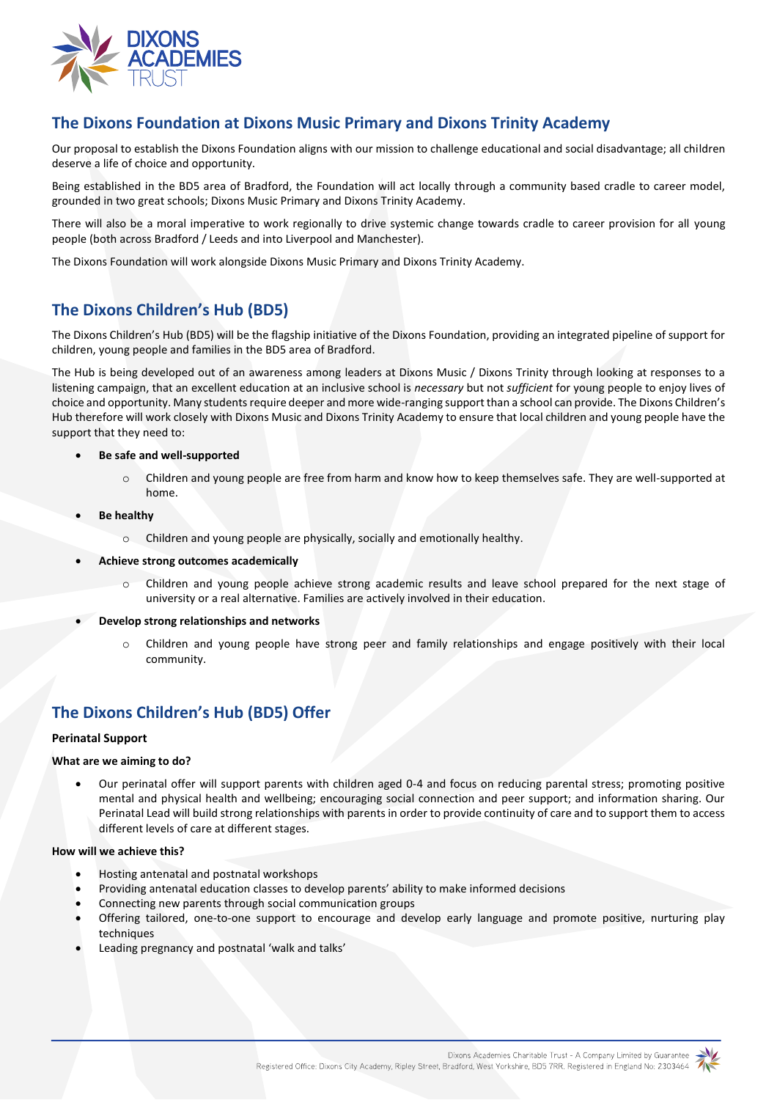

# **The Dixons Foundation at Dixons Music Primary and Dixons Trinity Academy**

Our proposal to establish the Dixons Foundation aligns with our mission to challenge educational and social disadvantage; all children deserve a life of choice and opportunity.

Being established in the BD5 area of Bradford, the Foundation will act locally through a community based cradle to career model, grounded in two great schools; Dixons Music Primary and Dixons Trinity Academy.

There will also be a moral imperative to work regionally to drive systemic change towards cradle to career provision for all young people (both across Bradford / Leeds and into Liverpool and Manchester).

The Dixons Foundation will work alongside Dixons Music Primary and Dixons Trinity Academy.

# **The Dixons Children's Hub (BD5)**

The Dixons Children's Hub (BD5) will be the flagship initiative of the Dixons Foundation, providing an integrated pipeline of support for children, young people and families in the BD5 area of Bradford.

The Hub is being developed out of an awareness among leaders at Dixons Music / Dixons Trinity through looking at responses to a listening campaign, that an excellent education at an inclusive school is *necessary* but not *sufficient* for young people to enjoy lives of choice and opportunity. Many students require deeper and more wide-ranging support than a school can provide. The Dixons Children's Hub therefore will work closely with Dixons Music and Dixons Trinity Academy to ensure that local children and young people have the support that they need to:

- **Be safe and well-supported**
	- o Children and young people are free from harm and know how to keep themselves safe. They are well-supported at home.
- **Be healthy**
	- o Children and young people are physically, socially and emotionally healthy.
- **Achieve strong outcomes academically**
	- o Children and young people achieve strong academic results and leave school prepared for the next stage of university or a real alternative. Families are actively involved in their education.
- **Develop strong relationships and networks**
	- o Children and young people have strong peer and family relationships and engage positively with their local community.

# **The Dixons Children's Hub (BD5) Offer**

## **Perinatal Support**

#### **What are we aiming to do?**

 Our perinatal offer will support parents with children aged 0-4 and focus on reducing parental stress; promoting positive mental and physical health and wellbeing; encouraging social connection and peer support; and information sharing. Our Perinatal Lead will build strong relationships with parents in order to provide continuity of care and to support them to access different levels of care at different stages.

#### **How will we achieve this?**

- Hosting antenatal and postnatal workshops
- Providing antenatal education classes to develop parents' ability to make informed decisions
- Connecting new parents through social communication groups
- Offering tailored, one-to-one support to encourage and develop early language and promote positive, nurturing play techniques
- Leading pregnancy and postnatal 'walk and talks'